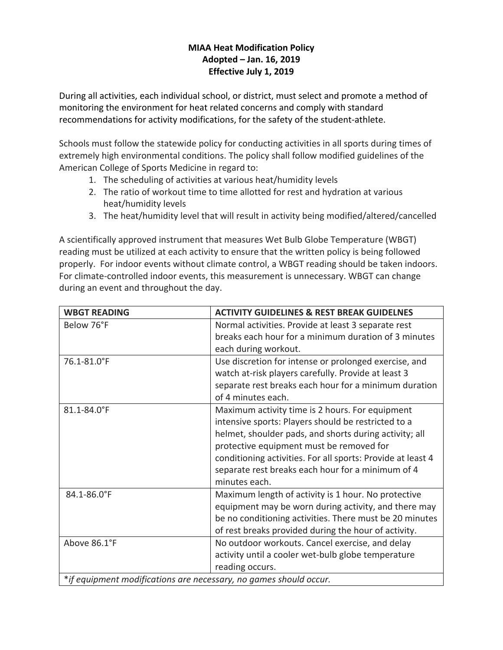## **MIAA Heat Modification Policy Adopted – Jan. 16, 2019 Effective July 1, 2019**

During all activities, each individual school, or district, must select and promote a method of monitoring the environment for heat related concerns and comply with standard recommendations for activity modifications, for the safety of the student‐athlete.

Schools must follow the statewide policy for conducting activities in all sports during times of extremely high environmental conditions. The policy shall follow modified guidelines of the American College of Sports Medicine in regard to:

- 1. The scheduling of activities at various heat/humidity levels
- 2. The ratio of workout time to time allotted for rest and hydration at various heat/humidity levels
- 3. The heat/humidity level that will result in activity being modified/altered/cancelled

A scientifically approved instrument that measures Wet Bulb Globe Temperature (WBGT) reading must be utilized at each activity to ensure that the written policy is being followed properly. For indoor events without climate control, a WBGT reading should be taken indoors. For climate‐controlled indoor events, this measurement is unnecessary. WBGT can change during an event and throughout the day.

| <b>WBGT READING</b>                                               | <b>ACTIVITY GUIDELINES &amp; REST BREAK GUIDELNES</b>       |
|-------------------------------------------------------------------|-------------------------------------------------------------|
| Below 76°F                                                        | Normal activities. Provide at least 3 separate rest         |
|                                                                   | breaks each hour for a minimum duration of 3 minutes        |
|                                                                   | each during workout.                                        |
| 76.1-81.0°F                                                       | Use discretion for intense or prolonged exercise, and       |
|                                                                   | watch at-risk players carefully. Provide at least 3         |
|                                                                   | separate rest breaks each hour for a minimum duration       |
|                                                                   | of 4 minutes each.                                          |
| 81.1-84.0°F                                                       | Maximum activity time is 2 hours. For equipment             |
|                                                                   | intensive sports: Players should be restricted to a         |
|                                                                   | helmet, shoulder pads, and shorts during activity; all      |
|                                                                   | protective equipment must be removed for                    |
|                                                                   | conditioning activities. For all sports: Provide at least 4 |
|                                                                   | separate rest breaks each hour for a minimum of 4           |
|                                                                   | minutes each.                                               |
| 84.1-86.0°F                                                       | Maximum length of activity is 1 hour. No protective         |
|                                                                   | equipment may be worn during activity, and there may        |
|                                                                   | be no conditioning activities. There must be 20 minutes     |
|                                                                   | of rest breaks provided during the hour of activity.        |
| Above 86.1°F                                                      | No outdoor workouts. Cancel exercise, and delay             |
|                                                                   | activity until a cooler wet-bulb globe temperature          |
|                                                                   | reading occurs.                                             |
| *if equipment modifications are necessary, no games should occur. |                                                             |